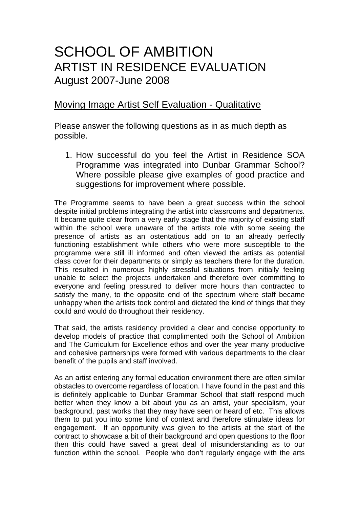## SCHOOL OF AMBITION ARTIST IN RESIDENCE EVALUATION August 2007-June 2008

## Moving Image Artist Self Evaluation - Qualitative

Please answer the following questions as in as much depth as possible.

1. How successful do you feel the Artist in Residence SOA Programme was integrated into Dunbar Grammar School? Where possible please give examples of good practice and suggestions for improvement where possible.

The Programme seems to have been a great success within the school despite initial problems integrating the artist into classrooms and departments. It became quite clear from a very early stage that the majority of existing staff within the school were unaware of the artists role with some seeing the presence of artists as an ostentatious add on to an already perfectly functioning establishment while others who were more susceptible to the programme were still ill informed and often viewed the artists as potential class cover for their departments or simply as teachers there for the duration. This resulted in numerous highly stressful situations from initially feeling unable to select the projects undertaken and therefore over committing to everyone and feeling pressured to deliver more hours than contracted to satisfy the many, to the opposite end of the spectrum where staff became unhappy when the artists took control and dictated the kind of things that they could and would do throughout their residency.

That said, the artists residency provided a clear and concise opportunity to develop models of practice that complimented both the School of Ambition and The Curriculum for Excellence ethos and over the year many productive and cohesive partnerships were formed with various departments to the clear benefit of the pupils and staff involved.

As an artist entering any formal education environment there are often similar obstacles to overcome regardless of location. I have found in the past and this is definitely applicable to Dunbar Grammar School that staff respond much better when they know a bit about you as an artist, your specialism, your background, past works that they may have seen or heard of etc. This allows them to put you into some kind of context and therefore stimulate ideas for engagement. If an opportunity was given to the artists at the start of the contract to showcase a bit of their background and open questions to the floor then this could have saved a great deal of misunderstanding as to our function within the school. People who don't regularly engage with the arts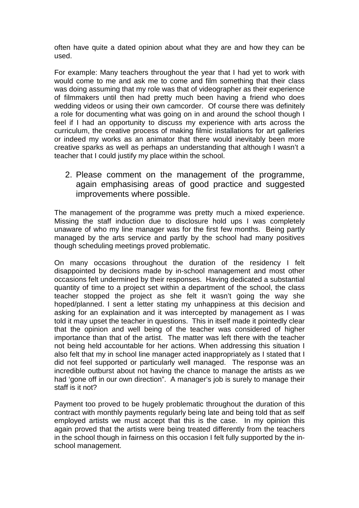often have quite a dated opinion about what they are and how they can be used.

For example: Many teachers throughout the year that I had yet to work with would come to me and ask me to come and film something that their class was doing assuming that my role was that of videographer as their experience of filmmakers until then had pretty much been having a friend who does wedding videos or using their own camcorder. Of course there was definitely a role for documenting what was going on in and around the school though I feel if I had an opportunity to discuss my experience with arts across the curriculum, the creative process of making filmic installations for art galleries or indeed my works as an animator that there would inevitably been more creative sparks as well as perhaps an understanding that although I wasn't a teacher that I could justify my place within the school.

2. Please comment on the management of the programme, again emphasising areas of good practice and suggested improvements where possible.

The management of the programme was pretty much a mixed experience. Missing the staff induction due to disclosure hold ups I was completely unaware of who my line manager was for the first few months. Being partly managed by the arts service and partly by the school had many positives though scheduling meetings proved problematic.

On many occasions throughout the duration of the residency I felt disappointed by decisions made by in-school management and most other occasions felt undermined by their responses. Having dedicated a substantial quantity of time to a project set within a department of the school, the class teacher stopped the project as she felt it wasn't going the way she hoped/planned. I sent a letter stating my unhappiness at this decision and asking for an explaination and it was intercepted by management as I was told it may upset the teacher in questions. This in itself made it pointedly clear that the opinion and well being of the teacher was considered of higher importance than that of the artist. The matter was left there with the teacher not being held accountable for her actions. When addressing this situation I also felt that my in school line manager acted inappropriately as I stated that I did not feel supported or particularly well managed. The response was an incredible outburst about not having the chance to manage the artists as we had 'gone off in our own direction". A manager's job is surely to manage their staff is it not?

Payment too proved to be hugely problematic throughout the duration of this contract with monthly payments regularly being late and being told that as self employed artists we must accept that this is the case. In my opinion this again proved that the artists were being treated differently from the teachers in the school though in fairness on this occasion I felt fully supported by the inschool management.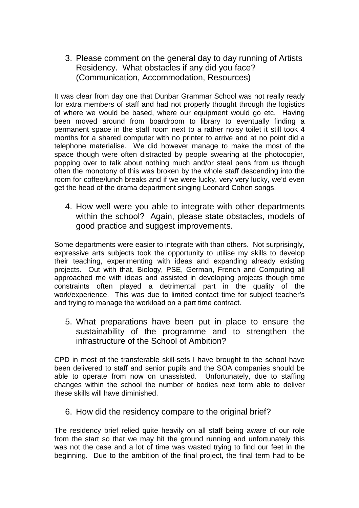3. Please comment on the general day to day running of Artists Residency. What obstacles if any did you face? (Communication, Accommodation, Resources)

It was clear from day one that Dunbar Grammar School was not really ready for extra members of staff and had not properly thought through the logistics of where we would be based, where our equipment would go etc. Having been moved around from boardroom to library to eventually finding a permanent space in the staff room next to a rather noisy toilet it still took 4 months for a shared computer with no printer to arrive and at no point did a telephone materialise. We did however manage to make the most of the space though were often distracted by people swearing at the photocopier, popping over to talk about nothing much and/or steal pens from us though often the monotony of this was broken by the whole staff descending into the room for coffee/lunch breaks and if we were lucky, very very lucky, we'd even get the head of the drama department singing Leonard Cohen songs.

4. How well were you able to integrate with other departments within the school? Again, please state obstacles, models of good practice and suggest improvements.

Some departments were easier to integrate with than others. Not surprisingly, expressive arts subjects took the opportunity to utilise my skills to develop their teaching, experimenting with ideas and expanding already existing projects. Out with that, Biology, PSE, German, French and Computing all approached me with ideas and assisted in developing projects though time constraints often played a detrimental part in the quality of the work/experience. This was due to limited contact time for subject teacher's and trying to manage the workload on a part time contract.

5. What preparations have been put in place to ensure the sustainability of the programme and to strengthen the infrastructure of the School of Ambition?

CPD in most of the transferable skill-sets I have brought to the school have been delivered to staff and senior pupils and the SOA companies should be able to operate from now on unassisted. Unfortunately, due to staffing changes within the school the number of bodies next term able to deliver these skills will have diminished.

6. How did the residency compare to the original brief?

The residency brief relied quite heavily on all staff being aware of our role from the start so that we may hit the ground running and unfortunately this was not the case and a lot of time was wasted trying to find our feet in the beginning. Due to the ambition of the final project, the final term had to be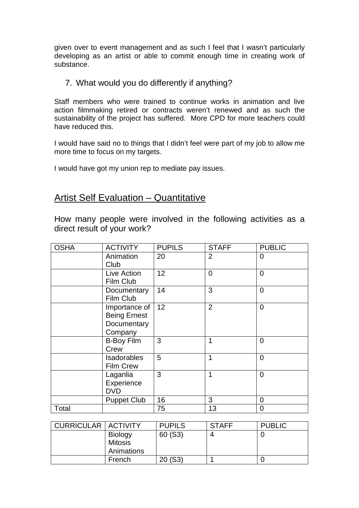given over to event management and as such I feel that I wasn't particularly developing as an artist or able to commit enough time in creating work of substance.

7. What would you do differently if anything?

Staff members who were trained to continue works in animation and live action filmmaking retired or contracts weren't renewed and as such the sustainability of the project has suffered. More CPD for more teachers could have reduced this.

I would have said no to things that I didn't feel were part of my job to allow me more time to focus on my targets.

I would have got my union rep to mediate pay issues.

## Artist Self Evaluation – Quantitative

How many people were involved in the following activities as a direct result of your work?

| <b>OSHA</b> | <b>ACTIVITY</b>     | <b>PUPILS</b> | <b>STAFF</b>   | <b>PUBLIC</b>  |
|-------------|---------------------|---------------|----------------|----------------|
|             | Animation           | 20            | 2              | 0              |
|             | Club                |               |                |                |
|             | Live Action         | 12            | $\overline{0}$ | 0              |
|             | Film Club           |               |                |                |
|             | Documentary         | 14            | 3              | $\overline{0}$ |
|             | Film Club           |               |                |                |
|             | Importance of       | 12            | $\overline{2}$ | $\overline{0}$ |
|             | <b>Being Ernest</b> |               |                |                |
|             | Documentary         |               |                |                |
|             | Company             |               |                |                |
|             | <b>B-Boy Film</b>   | 3             | 1              | 0              |
|             | Crew                |               |                |                |
|             | <b>Isadorables</b>  | 5             | 1              | 0              |
|             | <b>Film Crew</b>    |               |                |                |
|             | Laganlia            | 3             | 1              | 0              |
|             | Experience          |               |                |                |
|             | <b>DVD</b>          |               |                |                |
|             | <b>Puppet Club</b>  | 16            | 3              | 0              |
| Total       |                     | 75            | 13             | 0              |

| <b>CURRICULAR   ACTIVITY</b> |                                                | <b>PUPILS</b> | <b>STAFF</b> | <b>PUBLIC</b> |
|------------------------------|------------------------------------------------|---------------|--------------|---------------|
|                              | <b>Biology</b><br><b>Mitosis</b><br>Animations | 60 (S3)       | 4            |               |
|                              | French                                         | 20(S3)        |              |               |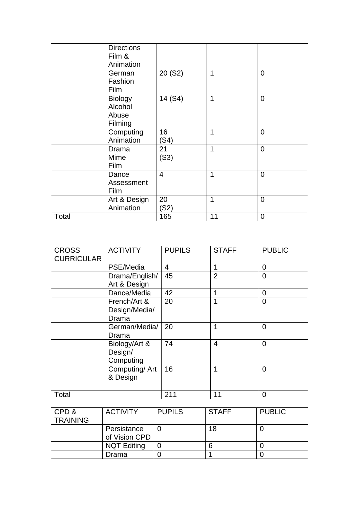|       | <b>Directions</b><br>Film &<br>Animation      |                |    |                |
|-------|-----------------------------------------------|----------------|----|----------------|
|       | German<br>Fashion<br>Film                     | 20 (S2)        | 1  | $\overline{0}$ |
|       | <b>Biology</b><br>Alcohol<br>Abuse<br>Filming | 14 (S4)        | 1  | $\mathbf 0$    |
|       | Computing<br>Animation                        | 16<br>(S4)     | 1  | $\mathbf 0$    |
|       | Drama<br>Mime<br>Film                         | 21<br>(S3)     | 1  | $\overline{0}$ |
|       | Dance<br>Assessment<br>Film                   | $\overline{4}$ | 1  | $\overline{0}$ |
|       | Art & Design<br>Animation                     | 20<br>(S2)     | 1  | $\overline{0}$ |
| Total |                                               | 165            | 11 | $\overline{0}$ |

| <b>CROSS</b>      | <b>ACTIVITY</b> | <b>PUPILS</b> | <b>STAFF</b>   | <b>PUBLIC</b>  |
|-------------------|-----------------|---------------|----------------|----------------|
| <b>CURRICULAR</b> |                 |               |                |                |
|                   | PSE/Media       | 4             | 1              | $\overline{0}$ |
|                   | Drama/English/  | 45            | $\overline{2}$ | $\overline{0}$ |
|                   | Art & Design    |               |                |                |
|                   | Dance/Media     | 42            | 1              | $\Omega$       |
|                   | French/Art &    | 20            | 1              | $\overline{0}$ |
|                   | Design/Media/   |               |                |                |
|                   | Drama           |               |                |                |
|                   | German/Media/   | 20            | 1              | $\overline{0}$ |
|                   | Drama           |               |                |                |
|                   | Biology/Art &   | 74            | $\overline{4}$ | $\overline{0}$ |
|                   | Design/         |               |                |                |
|                   | Computing       |               |                |                |
|                   | Computing/Art   | 16            | 1              | $\overline{0}$ |
|                   | & Design        |               |                |                |
|                   |                 |               |                |                |
| Total             |                 | 211           | 11             | 0              |

| CPD &<br><b>TRAINING</b> | <b>ACTIVITY</b>              | <b>PUPILS</b> | <b>STAFF</b> | <b>PUBLIC</b> |
|--------------------------|------------------------------|---------------|--------------|---------------|
|                          | Persistance<br>of Vision CPD |               | 18           |               |
|                          | <b>NQT Editing</b>           |               |              |               |
|                          | Drama                        |               |              |               |